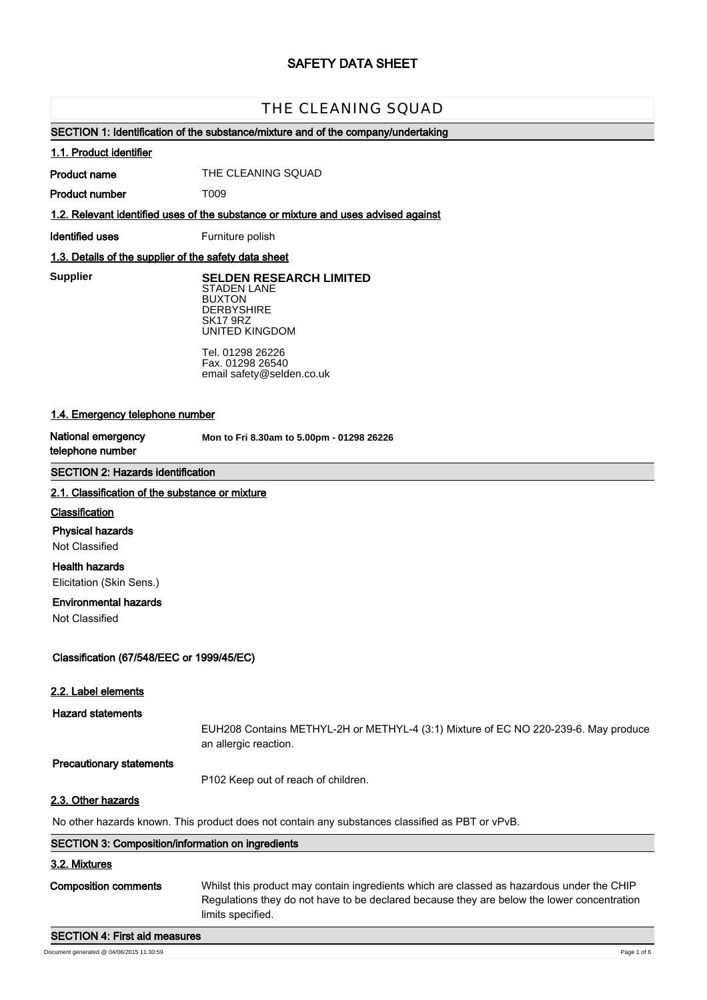# **SAFETY DATA SHEET**

# **T009 CLEANING SQUAD** THE CLEANING SQUAD

# **SECTION 1: Identification of the substance/mixture and of the company/undertaking**

#### **1.1. Product identifier**

**Product name**

THE CLEANING SQUAD

**Product number**

**1.2. Relevant identified uses of the substance or mixture and uses advised against**

**Identified uses** Furniture polish

T009

# **1.3. Details of the supplier of the safety data sheet**

**Supplier** 

**SELDEN RESEARCH LIMITED** STADEN LANE BUXTON **DERBYSHIRE** SK17 9RZ UNITED KINGDOM

Tel. 01298 26226 Fax. 01298 26540 email safety@selden.co.uk

# **1.4. Emergency telephone number**

**National emergency telephone number**

**Mon to Fri 8.30am to 5.00pm - 01298 26226**

# **SECTION 2: Hazards identification**

#### **2.1. Classification of the substance or mixture**

#### **Classification**

**Physical hazards**

Not Classified

**Health hazards**

Elicitation (Skin Sens.)

# **Environmental hazards**

Not Classified

# **Classification (67/548/EEC or 1999/45/EC)**

#### **2.2. Label elements**

**Hazard statements**

EUH208 Contains METHYL-2H or METHYL-4 (3:1) Mixture of EC NO 220-239-6. May produce an allergic reaction.

#### **Precautionary statements**

P102 Keep out of reach of children.

#### **2.3. Other hazards**

No other hazards known. This product does not contain any substances classified as PBT or vPvB.

| <b>SECTION 3: Composition/information on ingredients</b> |                                                                                                                                                                                                              |
|----------------------------------------------------------|--------------------------------------------------------------------------------------------------------------------------------------------------------------------------------------------------------------|
| 3.2. Mixtures                                            |                                                                                                                                                                                                              |
| Composition comments                                     | Whilst this product may contain ingredients which are classed as hazardous under the CHIP<br>Regulations they do not have to be declared because they are below the lower concentration<br>limits specified. |
| <b>SECTION 4: First aid measures</b>                     |                                                                                                                                                                                                              |

Document generated @ 04/06/2015 11:30:59 Page 1 of 6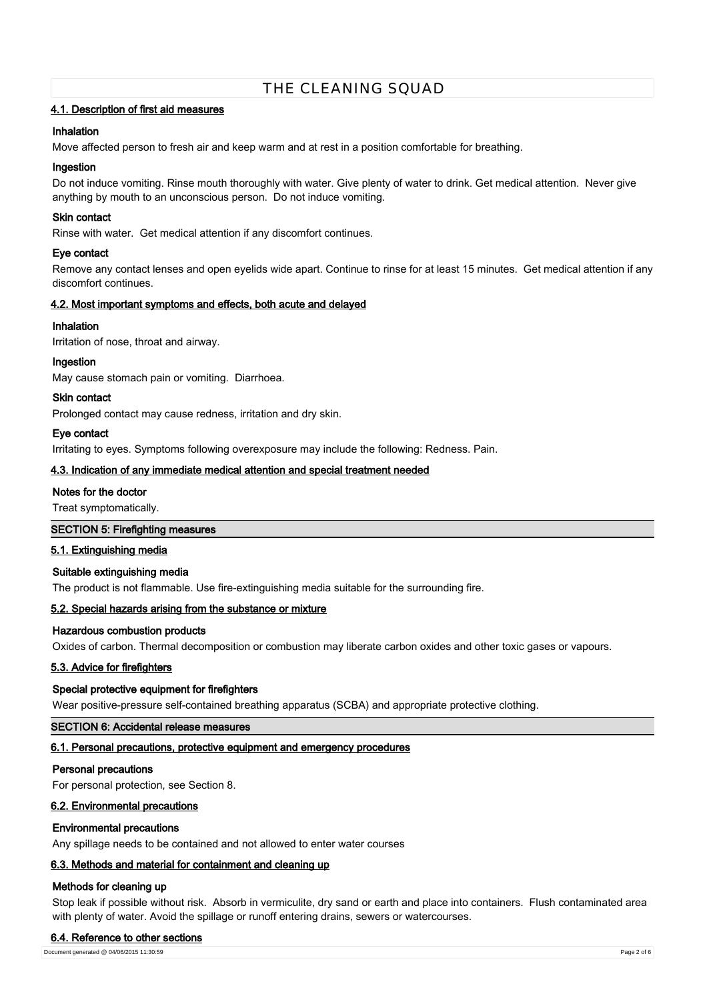# **4.1. Description of first aid measures**

#### **Inhalation**

Move affected person to fresh air and keep warm and at rest in a position comfortable for breathing.

#### **Ingestion**

Do not induce vomiting. Rinse mouth thoroughly with water. Give plenty of water to drink. Get medical attention. Never give anything by mouth to an unconscious person. Do not induce vomiting.

#### **Skin contact**

Rinse with water. Get medical attention if any discomfort continues.

#### **Eye contact**

Remove any contact lenses and open eyelids wide apart. Continue to rinse for at least 15 minutes. Get medical attention if any discomfort continues.

# **4.2. Most important symptoms and effects, both acute and delayed**

#### **Inhalation**

Irritation of nose, throat and airway.

#### **Ingestion**

May cause stomach pain or vomiting. Diarrhoea.

#### **Skin contact**

Prolonged contact may cause redness, irritation and dry skin.

#### **Eye contact**

Irritating to eyes. Symptoms following overexposure may include the following: Redness. Pain.

#### **4.3. Indication of any immediate medical attention and special treatment needed**

#### **Notes for the doctor**

Treat symptomatically.

#### **SECTION 5: Firefighting measures**

#### **5.1. Extinguishing media**

#### **Suitable extinguishing media**

The product is not flammable. Use fire-extinguishing media suitable for the surrounding fire.

# **5.2. Special hazards arising from the substance or mixture**

#### **Hazardous combustion products**

Oxides of carbon. Thermal decomposition or combustion may liberate carbon oxides and other toxic gases or vapours.

# **5.3. Advice for firefighters**

#### **Special protective equipment for firefighters**

Wear positive-pressure self-contained breathing apparatus (SCBA) and appropriate protective clothing.

#### **SECTION 6: Accidental release measures**

#### **6.1. Personal precautions, protective equipment and emergency procedures**

#### **Personal precautions**

For personal protection, see Section 8.

#### **6.2. Environmental precautions**

#### **Environmental precautions**

Any spillage needs to be contained and not allowed to enter water courses

# **6.3. Methods and material for containment and cleaning up**

# **Methods for cleaning up**

Stop leak if possible without risk. Absorb in vermiculite, dry sand or earth and place into containers. Flush contaminated area with plenty of water. Avoid the spillage or runoff entering drains, sewers or watercourses.

#### **6.4. Reference to other sections**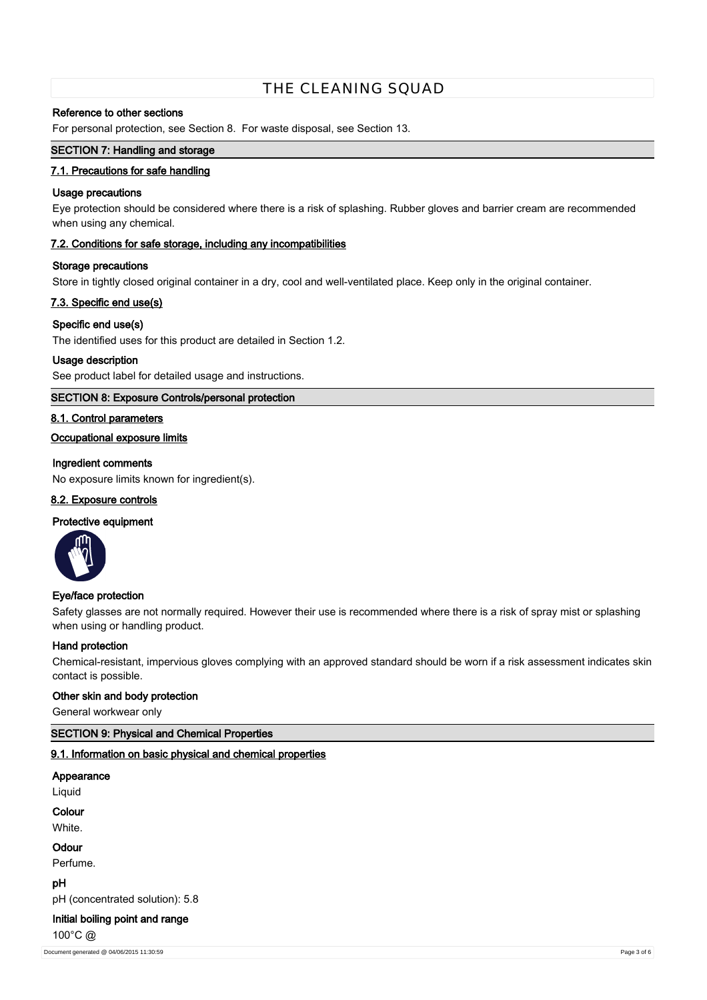#### **Reference to other sections**

For personal protection, see Section 8. For waste disposal, see Section 13.

# **SECTION 7: Handling and storage**

#### **7.1. Precautions for safe handling**

#### **Usage precautions**

Eye protection should be considered where there is a risk of splashing. Rubber gloves and barrier cream are recommended when using any chemical.

#### **7.2. Conditions for safe storage, including any incompatibilities**

#### **Storage precautions**

Store in tightly closed original container in a dry, cool and well-ventilated place. Keep only in the original container.

# **7.3. Specific end use(s)**

#### **Specific end use(s)**

The identified uses for this product are detailed in Section 1.2.

#### **Usage description**

See product label for detailed usage and instructions.

# **SECTION 8: Exposure Controls/personal protection**

#### **8.1. Control parameters**

# **Occupational exposure limits**

# **Ingredient comments**

No exposure limits known for ingredient(s).

## **8.2. Exposure controls**

#### **Protective equipment**



# **Eye/face protection**

Safety glasses are not normally required. However their use is recommended where there is a risk of spray mist or splashing when using or handling product.

#### **Hand protection**

Chemical-resistant, impervious gloves complying with an approved standard should be worn if a risk assessment indicates skin contact is possible.

#### **Other skin and body protection**

General workwear only

# **SECTION 9: Physical and Chemical Properties**

# **9.1. Information on basic physical and chemical properties**

# **Appearance** Liquid

**Colour**

**White** 

**Odour**

Perfume.

**pH**

pH (concentrated solution): 5.8

# **Initial boiling point and range**

100°C @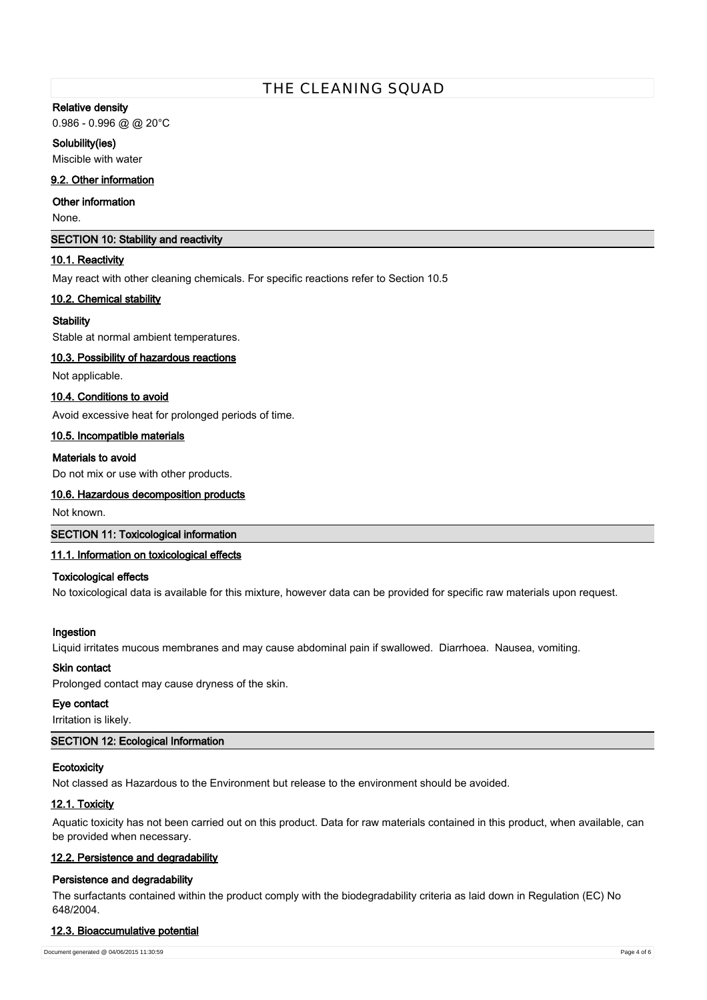#### **Relative density**

0.986 - 0.996 @ @ 20°C

# **Solubility(ies)**

Miscible with water

# **9.2. Other information**

# **Other information**

None.

#### **SECTION 10: Stability and reactivity**

# **10.1. Reactivity**

May react with other cleaning chemicals. For specific reactions refer to Section 10.5

# **10.2. Chemical stability**

#### **Stability**

Stable at normal ambient temperatures.

# **10.3. Possibility of hazardous reactions**

Not applicable.

# **10.4. Conditions to avoid**

Avoid excessive heat for prolonged periods of time.

# **10.5. Incompatible materials**

#### **Materials to avoid**

Do not mix or use with other products.

#### **10.6. Hazardous decomposition products**

Not known.

#### **SECTION 11: Toxicological information**

# **11.1. Information on toxicological effects**

# **Toxicological effects**

No toxicological data is available for this mixture, however data can be provided for specific raw materials upon request.

# **Ingestion**

Liquid irritates mucous membranes and may cause abdominal pain if swallowed. Diarrhoea. Nausea, vomiting.

# **Skin contact**

Prolonged contact may cause dryness of the skin.

#### **Eye contact**

Irritation is likely.

# **SECTION 12: Ecological Information**

# **Ecotoxicity**

Not classed as Hazardous to the Environment but release to the environment should be avoided.

# **12.1. Toxicity**

Aquatic toxicity has not been carried out on this product. Data for raw materials contained in this product, when available, can be provided when necessary.

# **12.2. Persistence and degradability**

# **Persistence and degradability**

The surfactants contained within the product comply with the biodegradability criteria as laid down in Regulation (EC) No 648/2004.

# **12.3. Bioaccumulative potential**

Document generated @ 04/06/2015 11:30:59 Page 4 of 6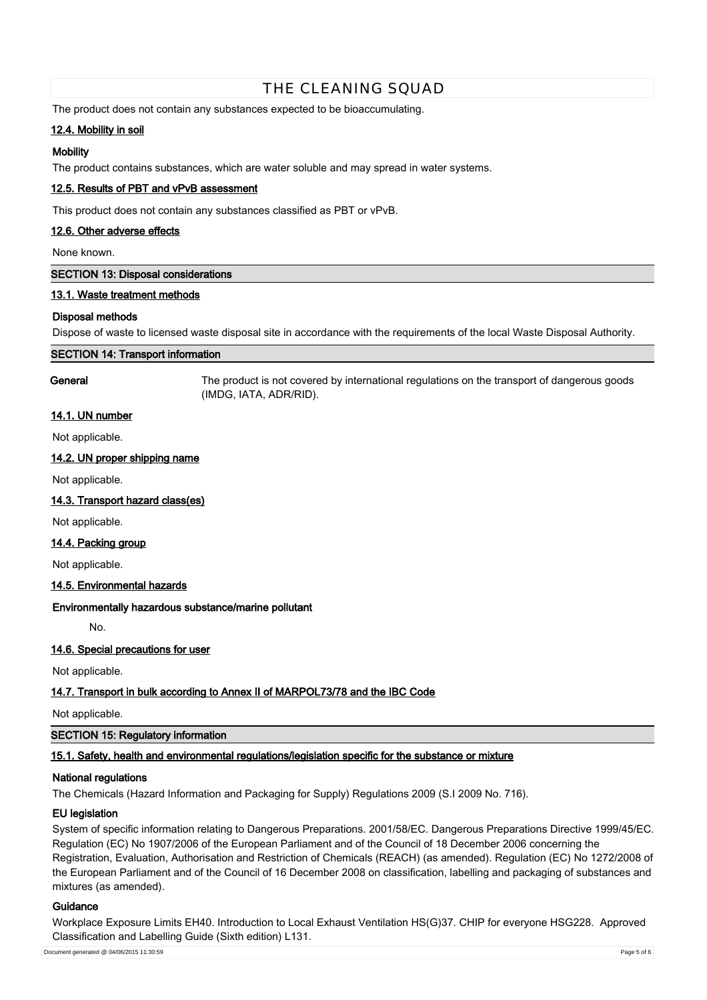The product does not contain any substances expected to be bioaccumulating.

# **12.4. Mobility in soil**

#### **Mobility**

The product contains substances, which are water soluble and may spread in water systems.

# **12.5. Results of PBT and vPvB assessment**

This product does not contain any substances classified as PBT or vPvB.

## **12.6. Other adverse effects**

None known.

#### **SECTION 13: Disposal considerations**

# **13.1. Waste treatment methods**

#### **Disposal methods**

Dispose of waste to licensed waste disposal site in accordance with the requirements of the local Waste Disposal Authority.

#### **SECTION 14: Transport information**

**General** The product is not covered by international regulations on the transport of dangerous goods (IMDG, IATA, ADR/RID).

#### **14.1. UN number**

Not applicable.

# **14.2. UN proper shipping name**

Not applicable.

# **14.3. Transport hazard class(es)**

Not applicable.

#### **14.4. Packing group**

Not applicable.

# **14.5. Environmental hazards**

#### **Environmentally hazardous substance/marine pollutant**

No.

# **14.6. Special precautions for user**

Not applicable.

# **14.7. Transport in bulk according to Annex II of MARPOL73/78 and the IBC Code**

Not applicable.

#### **SECTION 15: Regulatory information**

# **15.1. Safety, health and environmental regulations/legislation specific for the substance or mixture**

#### **National regulations**

The Chemicals (Hazard Information and Packaging for Supply) Regulations 2009 (S.I 2009 No. 716).

#### **EU legislation**

System of specific information relating to Dangerous Preparations. 2001/58/EC. Dangerous Preparations Directive 1999/45/EC. Regulation (EC) No 1907/2006 of the European Parliament and of the Council of 18 December 2006 concerning the Registration, Evaluation, Authorisation and Restriction of Chemicals (REACH) (as amended). Regulation (EC) No 1272/2008 of the European Parliament and of the Council of 16 December 2008 on classification, labelling and packaging of substances and mixtures (as amended).

#### **Guidance**

Workplace Exposure Limits EH40. Introduction to Local Exhaust Ventilation HS(G)37. CHIP for everyone HSG228. Approved Classification and Labelling Guide (Sixth edition) L131.